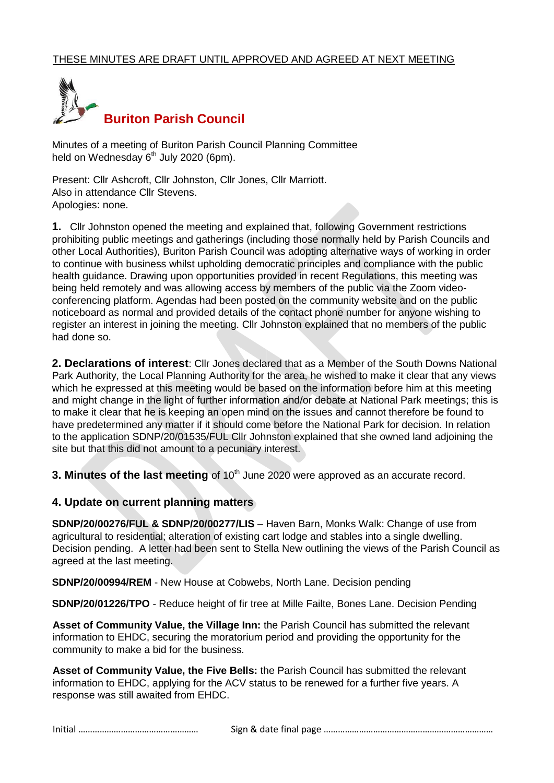

Minutes of a meeting of Buriton Parish Council Planning Committee held on Wednesday 6<sup>th</sup> July 2020 (6pm).

Present: Cllr Ashcroft, Cllr Johnston, Cllr Jones, Cllr Marriott. Also in attendance Cllr Stevens. Apologies: none.

**1.** Cllr Johnston opened the meeting and explained that, following Government restrictions prohibiting public meetings and gatherings (including those normally held by Parish Councils and other Local Authorities), Buriton Parish Council was adopting alternative ways of working in order to continue with business whilst upholding democratic principles and compliance with the public health guidance. Drawing upon opportunities provided in recent Regulations, this meeting was being held remotely and was allowing access by members of the public via the Zoom videoconferencing platform. Agendas had been posted on the community website and on the public noticeboard as normal and provided details of the contact phone number for anyone wishing to register an interest in joining the meeting. Cllr Johnston explained that no members of the public had done so.

**2. Declarations of interest**: Cllr Jones declared that as a Member of the South Downs National Park Authority, the Local Planning Authority for the area, he wished to make it clear that any views which he expressed at this meeting would be based on the information before him at this meeting and might change in the light of further information and/or debate at National Park meetings; this is to make it clear that he is keeping an open mind on the issues and cannot therefore be found to have predetermined any matter if it should come before the National Park for decision. In relation to the application SDNP/20/01535/FUL Cllr Johnston explained that she owned land adjoining the site but that this did not amount to a pecuniary interest.

**3. Minutes of the last meeting** of 10<sup>th</sup> June 2020 were approved as an accurate record.

### **4. Update on current planning matters**

**SDNP/20/00276/FUL & SDNP/20/00277/LIS** – Haven Barn, Monks Walk: Change of use from agricultural to residential; alteration of existing cart lodge and stables into a single dwelling. Decision pending. A letter had been sent to Stella New outlining the views of the Parish Council as agreed at the last meeting.

**SDNP/20/00994/REM** - New House at Cobwebs, North Lane. Decision pending

**SDNP/20/01226/TPO** - Reduce height of fir tree at Mille Failte, Bones Lane. Decision Pending

**Asset of Community Value, the Village Inn:** the Parish Council has submitted the relevant information to EHDC, securing the moratorium period and providing the opportunity for the community to make a bid for the business.

**Asset of Community Value, the Five Bells:** the Parish Council has submitted the relevant information to EHDC, applying for the ACV status to be renewed for a further five years. A response was still awaited from EHDC.

|--|--|